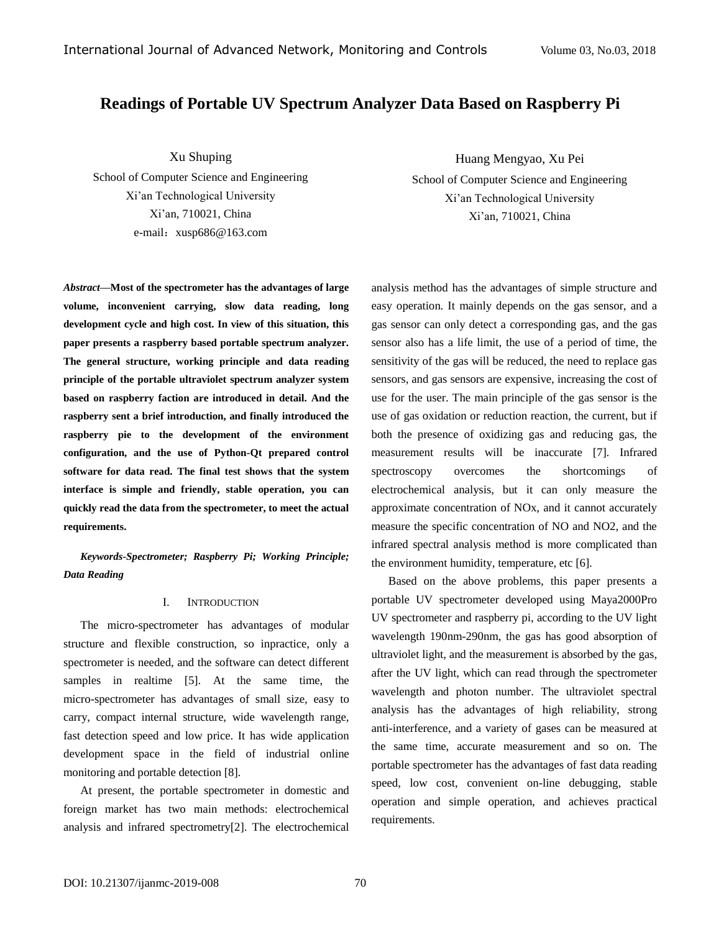# **Readings of Portable UV Spectrum Analyzer Data Based on Raspberry Pi**

Xu Shuping

School of Computer Science and Engineering Xi'an Technological University Xi'an, 710021, China e-mail:[xusp686@163.com](mailto:xusp686@163.com)

*Abstract—***Most of the spectrometer has the advantages of large volume, inconvenient carrying, slow data reading, long development cycle and high cost. In view of this situation, this paper presents a raspberry based portable spectrum analyzer. The general structure, working principle and data reading principle of the portable ultraviolet spectrum analyzer system based on raspberry faction are introduced in detail. And the raspberry sent a brief introduction, and finally introduced the raspberry pie to the development of the environment configuration, and the use of Python-Qt prepared control software for data read. The final test shows that the system interface is simple and friendly, stable operation, you can quickly read the data from the spectrometer, to meet the actual requirements.**

*Keywords-Spectrometer; Raspberry Pi; Working Principle; Data Reading*

## I. INTRODUCTION

The micro-spectrometer has advantages of modular structure and flexible construction, so inpractice, only a spectrometer is needed, and the software can detect different samples in realtime [5]. At the same time, the micro-spectrometer has advantages of small size, easy to carry, compact internal structure, wide wavelength range, fast detection speed and low price. It has wide application development space in the field of industrial online monitoring and portable detection [8].

At present, the portable spectrometer in domestic and foreign market has two main methods: electrochemical analysis and infrared spectrometry[2]. The electrochemical

Huang Mengyao, Xu Pei

School of Computer Science and Engineering Xi'an Technological University Xi'an, 710021, China

analysis method has the advantages of simple structure and easy operation. It mainly depends on the gas sensor, and a gas sensor can only detect a corresponding gas, and the gas sensor also has a life limit, the use of a period of time, the sensitivity of the gas will be reduced, the need to replace gas sensors, and gas sensors are expensive, increasing the cost of use for the user. The main principle of the gas sensor is the use of gas oxidation or reduction reaction, the current, but if both the presence of oxidizing gas and reducing gas, the measurement results will be inaccurate [7]. Infrared spectroscopy overcomes the shortcomings of electrochemical analysis, but it can only measure the approximate concentration of NOx, and it cannot accurately measure the specific concentration of NO and NO2, and the infrared spectral analysis method is more complicated than the environment humidity, temperature, etc [6].

Based on the above problems, this paper presents a portable UV spectrometer developed using Maya2000Pro UV spectrometer and raspberry pi, according to the UV light wavelength 190nm-290nm, the gas has good absorption of ultraviolet light, and the measurement is absorbed by the gas, after the UV light, which can read through the spectrometer wavelength and photon number. The ultraviolet spectral analysis has the advantages of high reliability, strong anti-interference, and a variety of gases can be measured at the same time, accurate measurement and so on. The portable spectrometer has the advantages of fast data reading speed, low cost, convenient on-line debugging, stable operation and simple operation, and achieves practical requirements.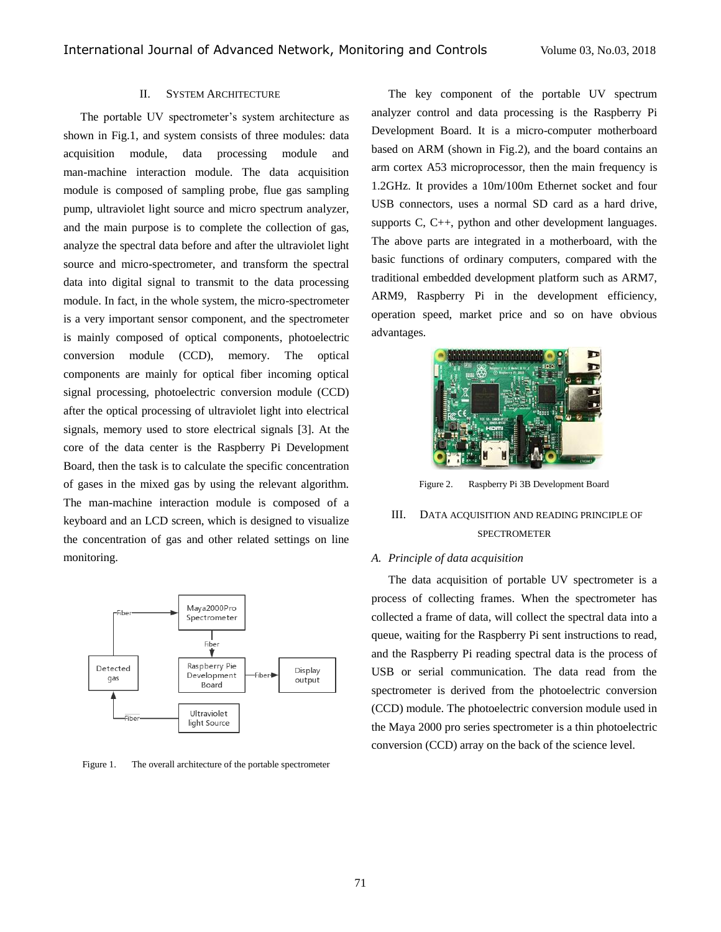#### II. SYSTEM ARCHITECTURE

The portable UV spectrometer's system architecture as shown in Fig.1, and system consists of three modules: data acquisition module, data processing module and man-machine interaction module. The data acquisition module is composed of sampling probe, flue gas sampling pump, ultraviolet light source and micro spectrum analyzer, and the main purpose is to complete the collection of gas, analyze the spectral data before and after the ultraviolet light source and micro-spectrometer, and transform the spectral data into digital signal to transmit to the data processing module. In fact, in the whole system, the micro-spectrometer is a very important sensor component, and the spectrometer is mainly composed of optical components, photoelectric conversion module (CCD), memory. The optical components are mainly for optical fiber incoming optical signal processing, photoelectric conversion module (CCD) after the optical processing of ultraviolet light into electrical signals, memory used to store electrical signals [3]. At the core of the data center is the Raspberry Pi Development Board, then the task is to calculate the specific concentration of gases in the mixed gas by using the relevant algorithm. The man-machine interaction module is composed of a keyboard and an LCD screen, which is designed to visualize the concentration of gas and other related settings on line monitoring.



Figure 1. The overall architecture of the portable spectrometer

The key component of the portable UV spectrum analyzer control and data processing is the Raspberry Pi Development Board. It is a micro-computer motherboard based on ARM (shown in Fig.2), and the board contains an arm cortex A53 microprocessor, then the main frequency is 1.2GHz. It provides a 10m/100m Ethernet socket and four USB connectors, uses a normal SD card as a hard drive, supports C, C++, python and other development languages. The above parts are integrated in a motherboard, with the basic functions of ordinary computers, compared with the traditional embedded development platform such as ARM7, ARM9, Raspberry Pi in the development efficiency, operation speed, market price and so on have obvious advantages.



Figure 2. Raspberry Pi 3B Development Board

## III. DATA ACQUISITION AND READING PRINCIPLE OF SPECTROMETER

#### *A. Principle of data acquisition*

The data acquisition of portable UV spectrometer is a process of collecting frames. When the spectrometer has collected a frame of data, will collect the spectral data into a queue, waiting for the Raspberry Pi sent instructions to read, and the Raspberry Pi reading spectral data is the process of USB or serial communication. The data read from the spectrometer is derived from the photoelectric conversion (CCD) module. The photoelectric conversion module used in the Maya 2000 pro series spectrometer is a thin photoelectric conversion (CCD) array on the back of the science level.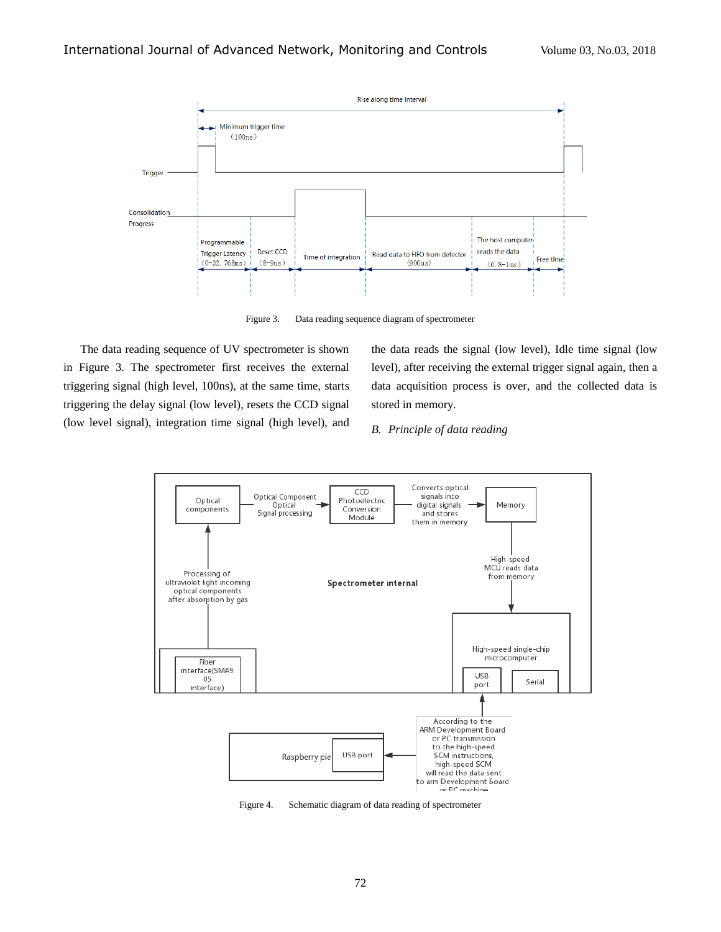

Figure 3. Data reading sequence diagram of spectrometer

The data reading sequence of UV spectrometer is shown in Figure 3. The spectrometer first receives the external triggering signal (high level, 100ns), at the same time, starts triggering the delay signal (low level), resets the CCD signal (low level signal), integration time signal (high level), and

the data reads the signal (low level), Idle time signal (low level), after receiving the external trigger signal again, then a data acquisition process is over, and the collected data is stored in memory.

## *B. Principle of data reading*



Figure 4. Schematic diagram of data reading of spectrometer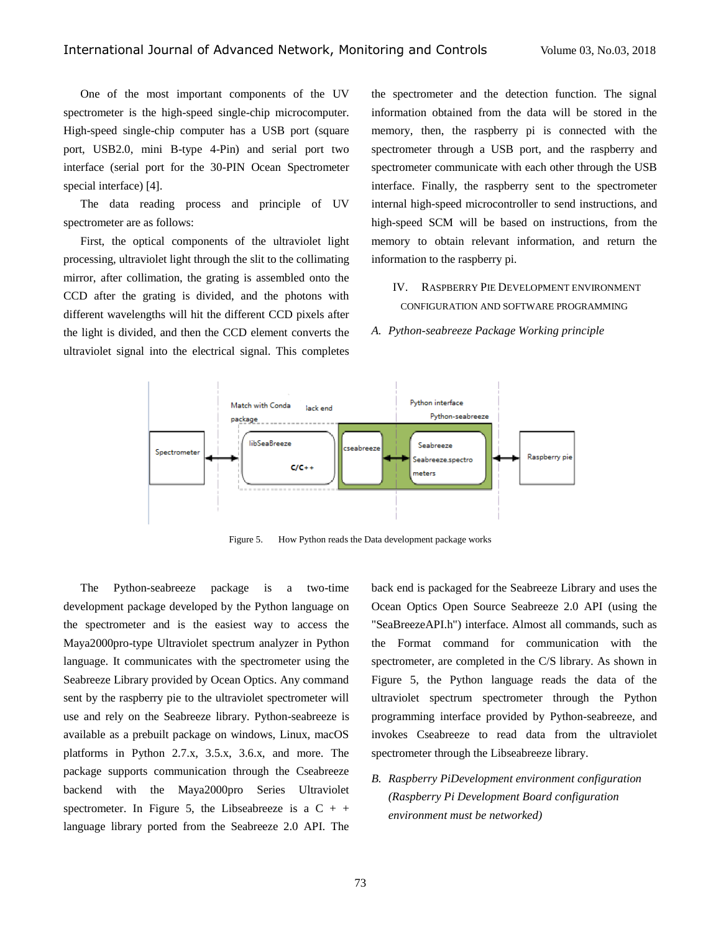One of the most important components of the UV spectrometer is the high-speed single-chip microcomputer. High-speed single-chip computer has a USB port (square port, USB2.0, mini B-type 4-Pin) and serial port two interface (serial port for the 30-PIN Ocean Spectrometer special interface) [4].

The data reading process and principle of UV spectrometer are as follows:

First, the optical components of the ultraviolet light processing, ultraviolet light through the slit to the collimating mirror, after collimation, the grating is assembled onto the CCD after the grating is divided, and the photons with different wavelengths will hit the different CCD pixels after the light is divided, and then the CCD element converts the ultraviolet signal into the electrical signal. This completes

the spectrometer and the detection function. The signal information obtained from the data will be stored in the memory, then, the raspberry pi is connected with the spectrometer through a USB port, and the raspberry and spectrometer communicate with each other through the USB interface. Finally, the raspberry sent to the spectrometer internal high-speed microcontroller to send instructions, and high-speed SCM will be based on instructions, from the memory to obtain relevant information, and return the information to the raspberry pi.

IV. RASPBERRY PIE DEVELOPMENT ENVIRONMENT CONFIGURATION AND SOFTWARE PROGRAMMING

*A. Python-seabreeze Package Working principle*



Figure 5. How Python reads the Data development package works

The Python-seabreeze package is a two-time development package developed by the Python language on the spectrometer and is the easiest way to access the Maya2000pro-type Ultraviolet spectrum analyzer in Python language. It communicates with the spectrometer using the Seabreeze Library provided by Ocean Optics. Any command sent by the raspberry pie to the ultraviolet spectrometer will use and rely on the Seabreeze library. Python-seabreeze is available as a prebuilt package on windows, Linux, macOS platforms in Python 2.7.x, 3.5.x, 3.6.x, and more. The package supports communication through the Cseabreeze backend with the Maya2000pro Series Ultraviolet spectrometer. In Figure 5, the Libseabreeze is a  $C + +$ language library ported from the Seabreeze 2.0 API. The

back end is packaged for the Seabreeze Library and uses the Ocean Optics Open Source Seabreeze 2.0 API (using the "SeaBreezeAPI.h") interface. Almost all commands, such as the Format command for communication with the spectrometer, are completed in the C/S library. As shown in Figure 5, the Python language reads the data of the ultraviolet spectrum spectrometer through the Python programming interface provided by Python-seabreeze, and invokes Cseabreeze to read data from the ultraviolet spectrometer through the Libseabreeze library.

*B. Raspberry PiDevelopment environment configuration (Raspberry Pi Development Board configuration environment must be networked)*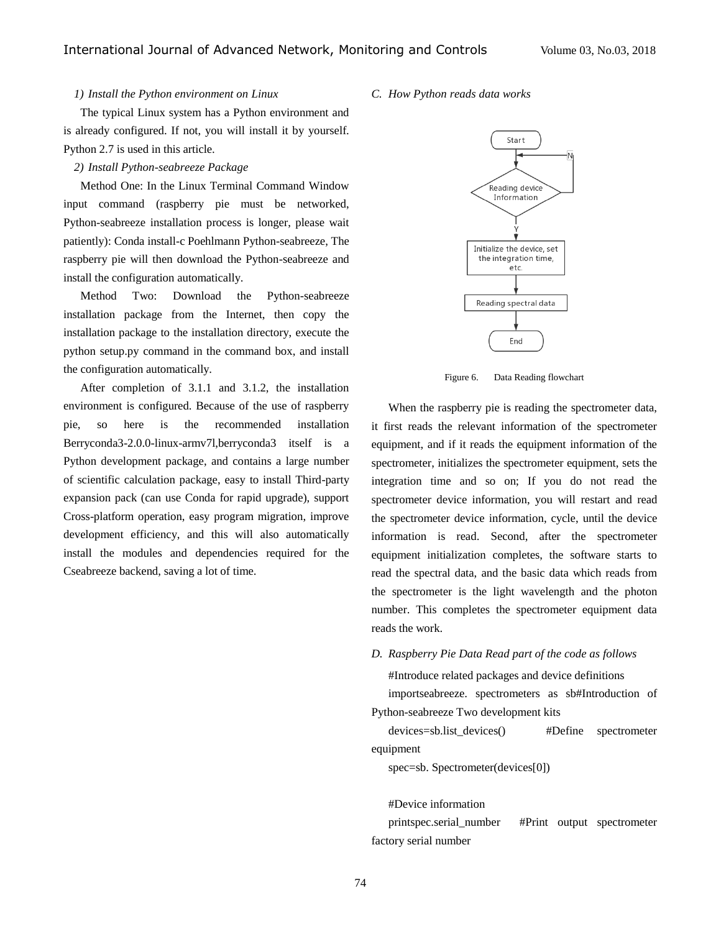## *1) Install the Python environment on Linux*

The typical Linux system has a Python environment and is already configured. If not, you will install it by yourself. Python 2.7 is used in this article.

#### *2) Install Python-seabreeze Package*

Method One: In the Linux Terminal Command Window input command (raspberry pie must be networked, Python-seabreeze installation process is longer, please wait patiently): Conda install-c Poehlmann Python-seabreeze, The raspberry pie will then download the Python-seabreeze and install the configuration automatically.

Method Two: Download the Python-seabreeze installation package from the Internet, then copy the installation package to the installation directory, execute the python setup.py command in the command box, and install the configuration automatically.

After completion of 3.1.1 and 3.1.2, the installation environment is configured. Because of the use of raspberry pie, so here is the recommended installation Berryconda3-2.0.0-linux-armv7l,berryconda3 itself is a Python development package, and contains a large number of scientific calculation package, easy to install Third-party expansion pack (can use Conda for rapid upgrade), support Cross-platform operation, easy program migration, improve development efficiency, and this will also automatically install the modules and dependencies required for the Cseabreeze backend, saving a lot of time.

#### *C. How Python reads data works*



Figure 6. Data Reading flowchart

When the raspberry pie is reading the spectrometer data, it first reads the relevant information of the spectrometer equipment, and if it reads the equipment information of the spectrometer, initializes the spectrometer equipment, sets the integration time and so on; If you do not read the spectrometer device information, you will restart and read the spectrometer device information, cycle, until the device information is read. Second, after the spectrometer equipment initialization completes, the software starts to read the spectral data, and the basic data which reads from the spectrometer is the light wavelength and the photon number. This completes the spectrometer equipment data reads the work.

*D. Raspberry Pie Data Read part of the code as follows*

#Introduce related packages and device definitions

importseabreeze. spectrometers as sb#Introduction of Python-seabreeze Two development kits

devices=sb.list\_devices() #Define spectrometer equipment

spec=sb. Spectrometer(devices[0])

#Device information

printspec.serial\_number #Print output spectrometer factory serial number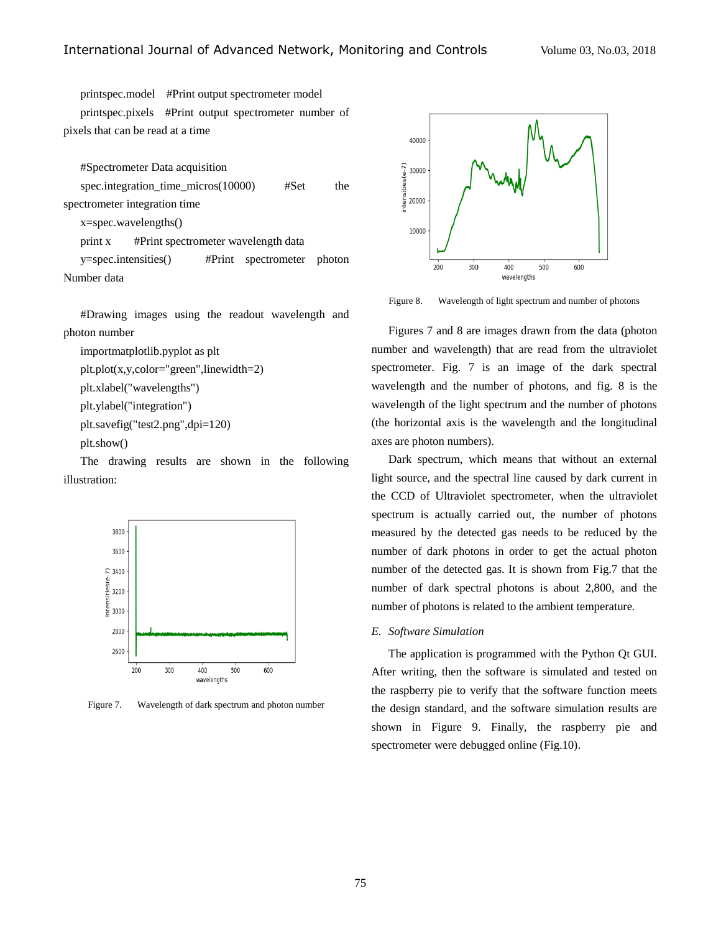printspec.model #Print output spectrometer model

printspec.pixels #Print output spectrometer number of pixels that can be read at a time

#Spectrometer Data acquisition

spec.integration time micros $(10000)$  #Set the spectrometer integration time

x=spec.wavelengths()

print x #Print spectrometer wavelength data

y=spec.intensities() #Print spectrometer photon Number data

#Drawing images using the readout wavelength and photon number

importmatplotlib.pyplot as plt

```
plt.plot(x,y,color="green",linewidth=2)
```
plt.xlabel("wavelengths")

plt.ylabel("integration")

plt.savefig("test2.png",dpi=120)

plt.show()

The drawing results are shown in the following illustration:



Figure 7. Wavelength of dark spectrum and photon number



Figure 8. Wavelength of light spectrum and number of photons

Figures 7 and 8 are images drawn from the data (photon number and wavelength) that are read from the ultraviolet spectrometer. Fig. 7 is an image of the dark spectral wavelength and the number of photons, and fig. 8 is the wavelength of the light spectrum and the number of photons (the horizontal axis is the wavelength and the longitudinal axes are photon numbers).

Dark spectrum, which means that without an external light source, and the spectral line caused by dark current in the CCD of Ultraviolet spectrometer, when the ultraviolet spectrum is actually carried out, the number of photons measured by the detected gas needs to be reduced by the number of dark photons in order to get the actual photon number of the detected gas. It is shown from Fig.7 that the number of dark spectral photons is about 2,800, and the number of photons is related to the ambient temperature.

## *E. Software Simulation*

The application is programmed with the Python Qt GUI. After writing, then the software is simulated and tested on the raspberry pie to verify that the software function meets the design standard, and the software simulation results are shown in Figure 9. Finally, the raspberry pie and spectrometer were debugged online (Fig.10).